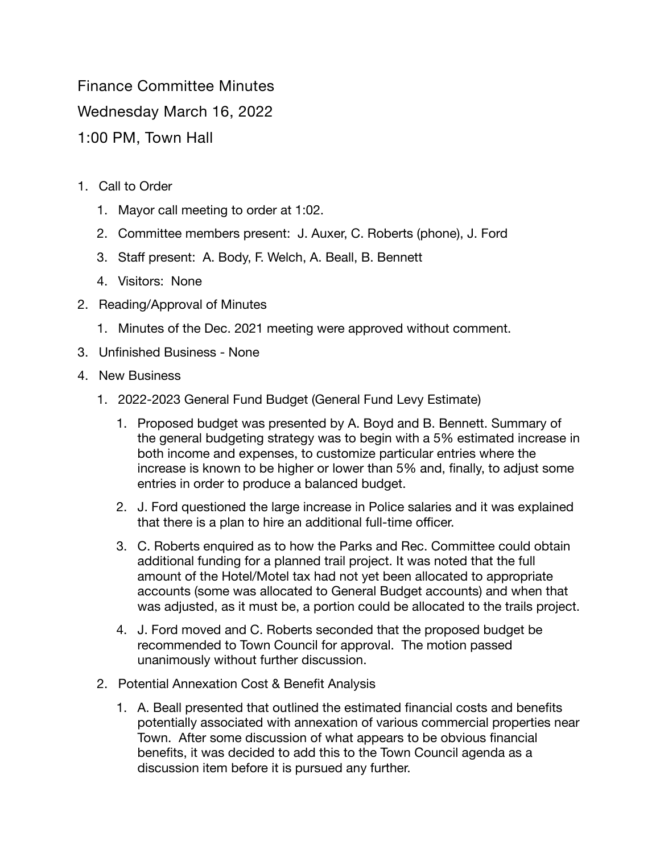Finance Committee Minutes

Wednesday March 16, 2022

- 1:00 PM, Town Hall
- 1. Call to Order
	- 1. Mayor call meeting to order at 1:02.
	- 2. Committee members present: J. Auxer, C. Roberts (phone), J. Ford
	- 3. Staff present: A. Body, F. Welch, A. Beall, B. Bennett
	- 4. Visitors: None
- 2. Reading/Approval of Minutes
	- 1. Minutes of the Dec. 2021 meeting were approved without comment.
- 3. Unfinished Business None
- 4. New Business
	- 1. 2022-2023 General Fund Budget (General Fund Levy Estimate)
		- 1. Proposed budget was presented by A. Boyd and B. Bennett. Summary of the general budgeting strategy was to begin with a 5% estimated increase in both income and expenses, to customize particular entries where the increase is known to be higher or lower than 5% and, finally, to adjust some entries in order to produce a balanced budget.
		- 2. J. Ford questioned the large increase in Police salaries and it was explained that there is a plan to hire an additional full-time officer.
		- 3. C. Roberts enquired as to how the Parks and Rec. Committee could obtain additional funding for a planned trail project. It was noted that the full amount of the Hotel/Motel tax had not yet been allocated to appropriate accounts (some was allocated to General Budget accounts) and when that was adjusted, as it must be, a portion could be allocated to the trails project.
		- 4. J. Ford moved and C. Roberts seconded that the proposed budget be recommended to Town Council for approval. The motion passed unanimously without further discussion.
	- 2. Potential Annexation Cost & Benefit Analysis
		- 1. A. Beall presented that outlined the estimated financial costs and benefits potentially associated with annexation of various commercial properties near Town. After some discussion of what appears to be obvious financial benefits, it was decided to add this to the Town Council agenda as a discussion item before it is pursued any further.